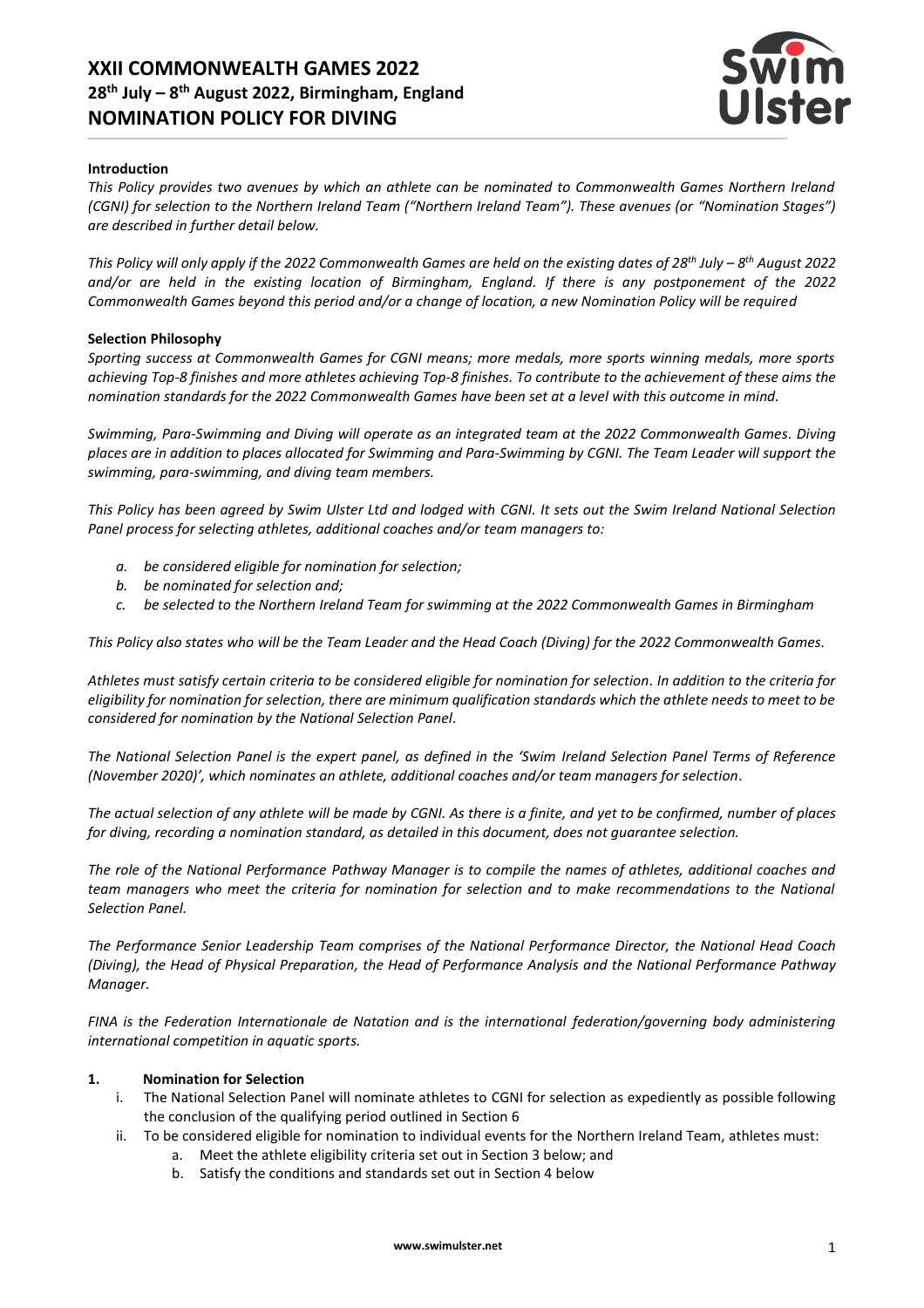# **XXII COMMONWEALTH GAMES 2022 28 th July – 8 th August 2022, Birmingham, England NOMINATION POLICY FOR DIVING**



#### **Introduction**

*This Policy provides two avenues by which an athlete can be nominated to Commonwealth Games Northern Ireland (CGNI) for selection to the Northern Ireland Team ("Northern Ireland Team"). These avenues (or "Nomination Stages") are described in further detail below.*

*This Policy will only apply if the 2022 Commonwealth Games are held on the existing dates of 28 th July – 8 th August 2022 and/or are held in the existing location of Birmingham, England. If there is any postponement of the 2022 Commonwealth Games beyond this period and/or a change of location, a new Nomination Policy will be required*

#### **Selection Philosophy**

*Sporting success at Commonwealth Games for CGNI means; more medals, more sports winning medals, more sports achieving Top-8 finishes and more athletes achieving Top-8 finishes. To contribute to the achievement of these aims the nomination standards for the 2022 Commonwealth Games have been set at a level with this outcome in mind.*

*Swimming, Para-Swimming and Diving will operate as an integrated team at the 2022 Commonwealth Games. Diving places are in addition to places allocated for Swimming and Para-Swimming by CGNI. The Team Leader will support the swimming, para-swimming, and diving team members.*

*This Policy has been agreed by Swim Ulster Ltd and lodged with CGNI. It sets out the Swim Ireland National Selection Panel process for selecting athletes, additional coaches and/or team managers to:*

- *a. be considered eligible for nomination for selection;*
- *b. be nominated for selection and;*
- *c. be selected to the Northern Ireland Team for swimming at the 2022 Commonwealth Games in Birmingham*

*This Policy also states who will be the Team Leader and the Head Coach (Diving) for the 2022 Commonwealth Games.*

*Athletes must satisfy certain criteria to be considered eligible for nomination for selection. In addition to the criteria for eligibility for nomination for selection, there are minimum qualification standards which the athlete needs to meet to be considered for nomination by the National Selection Panel.*

*The National Selection Panel is the expert panel, as defined in the 'Swim Ireland Selection Panel Terms of Reference (November 2020)', which nominates an athlete, additional coaches and/or team managers for selection.*

*The actual selection of any athlete will be made by CGNI. As there is a finite, and yet to be confirmed, number of places for diving, recording a nomination standard, as detailed in this document, does not guarantee selection.*

*The role of the National Performance Pathway Manager is to compile the names of athletes, additional coaches and team managers who meet the criteria for nomination for selection and to make recommendations to the National Selection Panel.*

*The Performance Senior Leadership Team comprises of the National Performance Director, the National Head Coach (Diving), the Head of Physical Preparation, the Head of Performance Analysis and the National Performance Pathway Manager.*

*FINA is the Federation Internationale de Natation and is the international federation/governing body administering international competition in aquatic sports.*

#### **1. Nomination for Selection**

- i. The National Selection Panel will nominate athletes to CGNI for selection as expediently as possible following the conclusion of the qualifying period outlined in Section 6
- ii. To be considered eligible for nomination to individual events for the Northern Ireland Team, athletes must:
	- a. Meet the athlete eligibility criteria set out in Section 3 below; and
	- b. Satisfy the conditions and standards set out in Section 4 below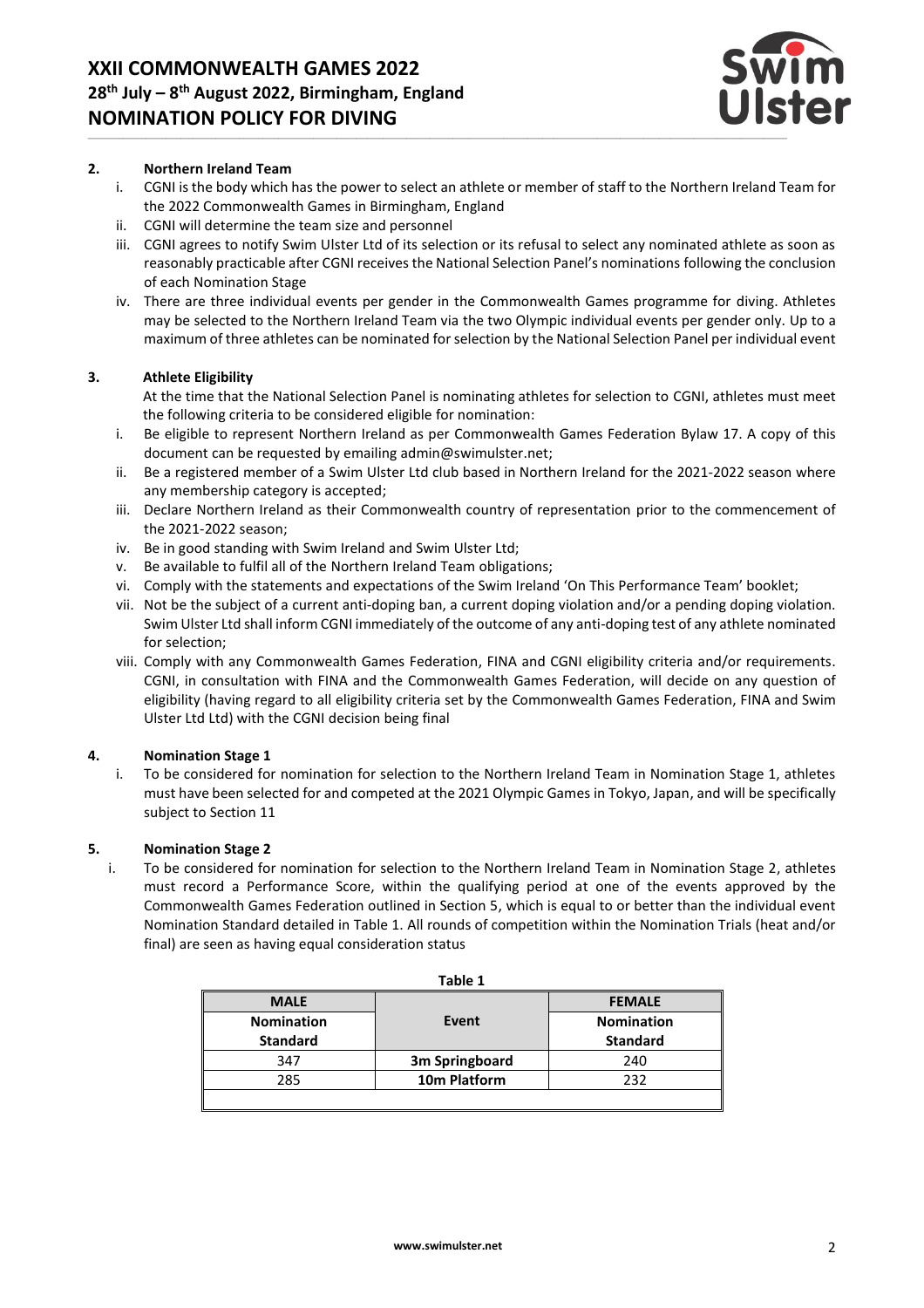

## **2. Northern Ireland Team**

- i. CGNI is the body which has the power to select an athlete or member of staff to the Northern Ireland Team for the 2022 Commonwealth Games in Birmingham, England
- ii. CGNI will determine the team size and personnel
- iii. CGNI agrees to notify Swim Ulster Ltd of its selection or its refusal to select any nominated athlete as soon as reasonably practicable after CGNI receives the National Selection Panel's nominations following the conclusion of each Nomination Stage
- iv. There are three individual events per gender in the Commonwealth Games programme for diving. Athletes may be selected to the Northern Ireland Team via the two Olympic individual events per gender only. Up to a maximum of three athletes can be nominated for selection by the National Selection Panel per individual event

# **3. Athlete Eligibility**

At the time that the National Selection Panel is nominating athletes for selection to CGNI, athletes must meet the following criteria to be considered eligible for nomination:

- i. Be eligible to represent Northern Ireland as per Commonwealth Games Federation Bylaw 17. A copy of this document can be requested by emailing admin@swimulster.net;
- ii. Be a registered member of a Swim Ulster Ltd club based in Northern Ireland for the 2021-2022 season where any membership category is accepted;
- iii. Declare Northern Ireland as their Commonwealth country of representation prior to the commencement of the 2021-2022 season;
- iv. Be in good standing with Swim Ireland and Swim Ulster Ltd;
- v. Be available to fulfil all of the Northern Ireland Team obligations;
- vi. Comply with the statements and expectations of the Swim Ireland 'On This Performance Team' booklet;
- vii. Not be the subject of a current anti-doping ban, a current doping violation and/or a pending doping violation. Swim Ulster Ltd shall inform CGNI immediately of the outcome of any anti-doping test of any athlete nominated for selection;
- viii. Comply with any Commonwealth Games Federation, FINA and CGNI eligibility criteria and/or requirements. CGNI, in consultation with FINA and the Commonwealth Games Federation, will decide on any question of eligibility (having regard to all eligibility criteria set by the Commonwealth Games Federation, FINA and Swim Ulster Ltd Ltd) with the CGNI decision being final

## **4. Nomination Stage 1**

i. To be considered for nomination for selection to the Northern Ireland Team in Nomination Stage 1, athletes must have been selected for and competed at the 2021 Olympic Games in Tokyo, Japan, and will be specifically subject to Section 11

## **5. Nomination Stage 2**

i. To be considered for nomination for selection to the Northern Ireland Team in Nomination Stage 2, athletes must record a Performance Score, within the qualifying period at one of the events approved by the Commonwealth Games Federation outlined in Section 5, which is equal to or better than the individual event Nomination Standard detailed in Table 1. All rounds of competition within the Nomination Trials (heat and/or final) are seen as having equal consideration status

| Table 1           |                |                   |
|-------------------|----------------|-------------------|
| <b>MALE</b>       |                | <b>FEMALE</b>     |
| <b>Nomination</b> | Event          | <b>Nomination</b> |
| <b>Standard</b>   |                | <b>Standard</b>   |
| 347               | 3m Springboard | 240               |
| 285               | 10m Platform   | 232               |
|                   |                |                   |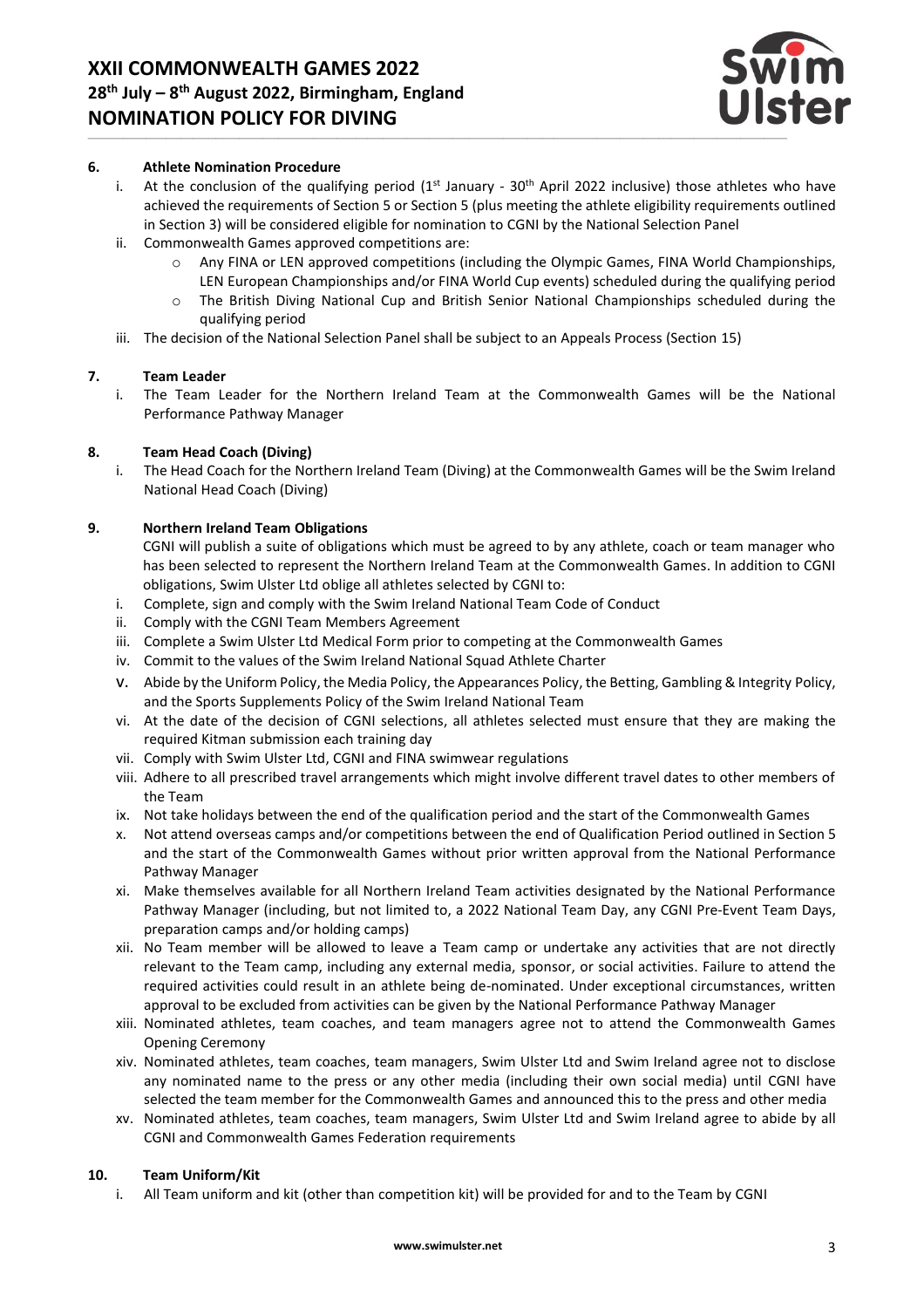

#### **6. Athlete Nomination Procedure**

- i. At the conclusion of the qualifying period  $(1^{st}$  January 30<sup>th</sup> April 2022 inclusive) those athletes who have achieved the requirements of Section 5 or Section 5 (plus meeting the athlete eligibility requirements outlined in Section 3) will be considered eligible for nomination to CGNI by the National Selection Panel
- ii. Commonwealth Games approved competitions are:
	- o Any FINA or LEN approved competitions (including the Olympic Games, FINA World Championships, LEN European Championships and/or FINA World Cup events) scheduled during the qualifying period
	- o The British Diving National Cup and British Senior National Championships scheduled during the qualifying period
- iii. The decision of the National Selection Panel shall be subject to an Appeals Process (Section 15)

## **7. Team Leader**

i. The Team Leader for the Northern Ireland Team at the Commonwealth Games will be the National Performance Pathway Manager

## **8. Team Head Coach (Diving)**

i. The Head Coach for the Northern Ireland Team (Diving) at the Commonwealth Games will be the Swim Ireland National Head Coach (Diving)

# **9. Northern Ireland Team Obligations**

CGNI will publish a suite of obligations which must be agreed to by any athlete, coach or team manager who has been selected to represent the Northern Ireland Team at the Commonwealth Games. In addition to CGNI obligations, Swim Ulster Ltd oblige all athletes selected by CGNI to:

- i. Complete, sign and comply with the Swim Ireland National Team Code of Conduct
- ii. Comply with the CGNI Team Members Agreement
- iii. Complete a Swim Ulster Ltd Medical Form prior to competing at the Commonwealth Games
- iv. Commit to the values of the Swim Ireland National Squad Athlete Charter
- v. Abide by the Uniform Policy, the Media Policy, the Appearances Policy, the Betting, Gambling & Integrity Policy, and the Sports Supplements Policy of the Swim Ireland National Team
- vi. At the date of the decision of CGNI selections, all athletes selected must ensure that they are making the required Kitman submission each training day
- vii. Comply with Swim Ulster Ltd, CGNI and FINA swimwear regulations
- viii. Adhere to all prescribed travel arrangements which might involve different travel dates to other members of the Team
- ix. Not take holidays between the end of the qualification period and the start of the Commonwealth Games
- x. Not attend overseas camps and/or competitions between the end of Qualification Period outlined in Section 5 and the start of the Commonwealth Games without prior written approval from the National Performance Pathway Manager
- xi. Make themselves available for all Northern Ireland Team activities designated by the National Performance Pathway Manager (including, but not limited to, a 2022 National Team Day, any CGNI Pre-Event Team Days, preparation camps and/or holding camps)
- xii. No Team member will be allowed to leave a Team camp or undertake any activities that are not directly relevant to the Team camp, including any external media, sponsor, or social activities. Failure to attend the required activities could result in an athlete being de-nominated. Under exceptional circumstances, written approval to be excluded from activities can be given by the National Performance Pathway Manager
- xiii. Nominated athletes, team coaches, and team managers agree not to attend the Commonwealth Games Opening Ceremony
- xiv. Nominated athletes, team coaches, team managers, Swim Ulster Ltd and Swim Ireland agree not to disclose any nominated name to the press or any other media (including their own social media) until CGNI have selected the team member for the Commonwealth Games and announced this to the press and other media
- xv. Nominated athletes, team coaches, team managers, Swim Ulster Ltd and Swim Ireland agree to abide by all CGNI and Commonwealth Games Federation requirements

## **10. Team Uniform/Kit**

i. All Team uniform and kit (other than competition kit) will be provided for and to the Team by CGNI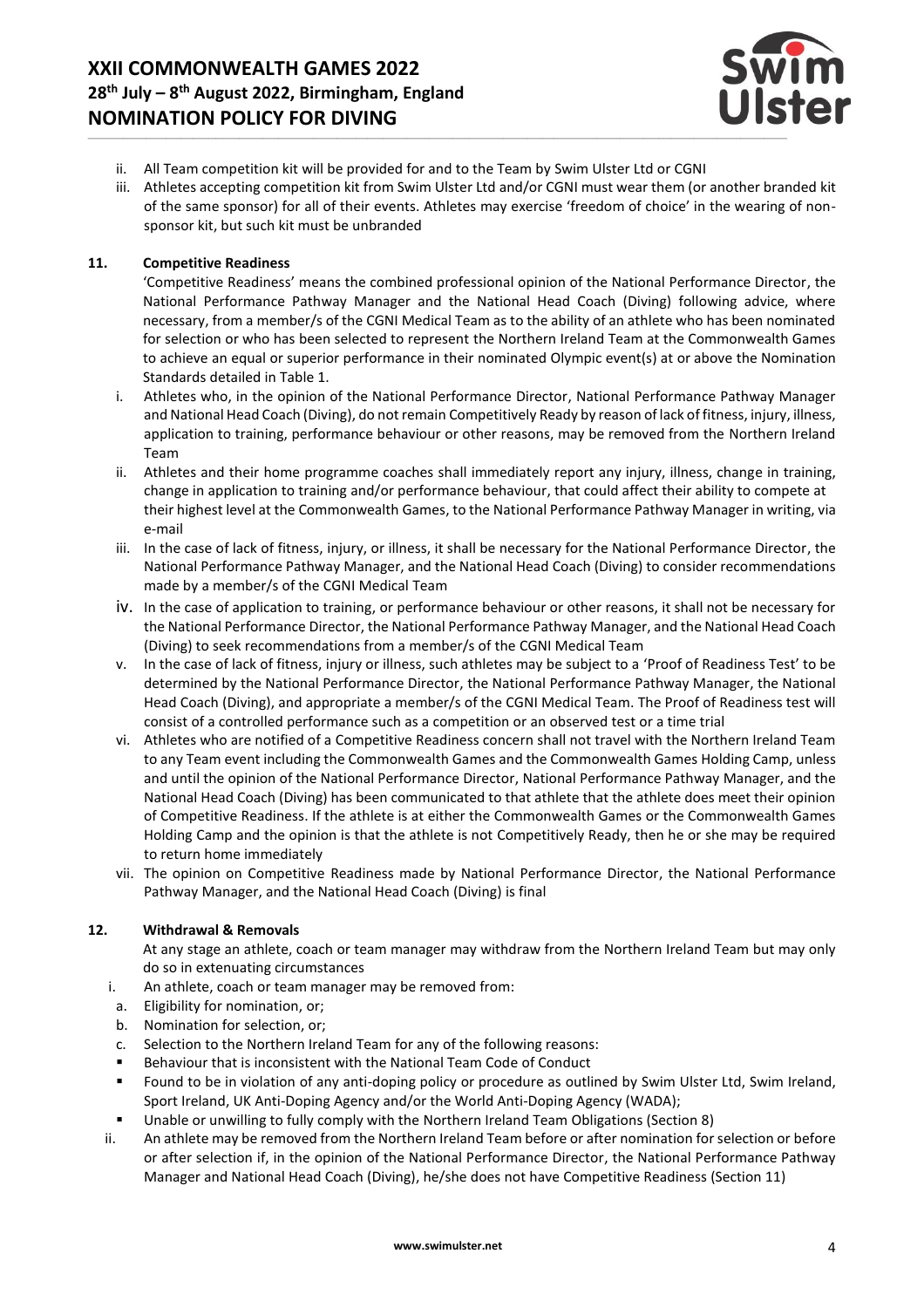

- ii. All Team competition kit will be provided for and to the Team by Swim Ulster Ltd or CGNI
- iii. Athletes accepting competition kit from Swim Ulster Ltd and/or CGNI must wear them (or another branded kit of the same sponsor) for all of their events. Athletes may exercise 'freedom of choice' in the wearing of nonsponsor kit, but such kit must be unbranded

# **11. Competitive Readiness**

'Competitive Readiness' means the combined professional opinion of the National Performance Director, the National Performance Pathway Manager and the National Head Coach (Diving) following advice, where necessary, from a member/s of the CGNI Medical Team as to the ability of an athlete who has been nominated for selection or who has been selected to represent the Northern Ireland Team at the Commonwealth Games to achieve an equal or superior performance in their nominated Olympic event(s) at or above the Nomination Standards detailed in Table 1.

- i. Athletes who, in the opinion of the National Performance Director, National Performance Pathway Manager and National Head Coach (Diving), do not remain Competitively Ready by reason of lack of fitness, injury, illness, application to training, performance behaviour or other reasons, may be removed from the Northern Ireland Team
- ii. Athletes and their home programme coaches shall immediately report any injury, illness, change in training, change in application to training and/or performance behaviour, that could affect their ability to compete at their highest level at the Commonwealth Games, to the National Performance Pathway Manager in writing, via e-mail
- iii. In the case of lack of fitness, injury, or illness, it shall be necessary for the National Performance Director, the National Performance Pathway Manager, and the National Head Coach (Diving) to consider recommendations made by a member/s of the CGNI Medical Team
- iv. In the case of application to training, or performance behaviour or other reasons, it shall not be necessary for the National Performance Director, the National Performance Pathway Manager, and the National Head Coach (Diving) to seek recommendations from a member/s of the CGNI Medical Team
- v. In the case of lack of fitness, injury or illness, such athletes may be subject to a 'Proof of Readiness Test' to be determined by the National Performance Director, the National Performance Pathway Manager, the National Head Coach (Diving), and appropriate a member/s of the CGNI Medical Team. The Proof of Readiness test will consist of a controlled performance such as a competition or an observed test or a time trial
- vi. Athletes who are notified of a Competitive Readiness concern shall not travel with the Northern Ireland Team to any Team event including the Commonwealth Games and the Commonwealth Games Holding Camp, unless and until the opinion of the National Performance Director, National Performance Pathway Manager, and the National Head Coach (Diving) has been communicated to that athlete that the athlete does meet their opinion of Competitive Readiness. If the athlete is at either the Commonwealth Games or the Commonwealth Games Holding Camp and the opinion is that the athlete is not Competitively Ready, then he or she may be required to return home immediately
- vii. The opinion on Competitive Readiness made by National Performance Director, the National Performance Pathway Manager, and the National Head Coach (Diving) is final

# **12. Withdrawal & Removals**

At any stage an athlete, coach or team manager may withdraw from the Northern Ireland Team but may only do so in extenuating circumstances

- i. An athlete, coach or team manager may be removed from:
- a. Eligibility for nomination, or;
- b. Nomination for selection, or;
- c. Selection to the Northern Ireland Team for any of the following reasons:
- Behaviour that is inconsistent with the National Team Code of Conduct
- Found to be in violation of any anti-doping policy or procedure as outlined by Swim Ulster Ltd, Swim Ireland, Sport Ireland, UK Anti-Doping Agency and/or the World Anti-Doping Agency (WADA);
- Unable or unwilling to fully comply with the Northern Ireland Team Obligations (Section 8)
- ii. An athlete may be removed from the Northern Ireland Team before or after nomination for selection or before or after selection if, in the opinion of the National Performance Director, the National Performance Pathway Manager and National Head Coach (Diving), he/she does not have Competitive Readiness (Section 11)